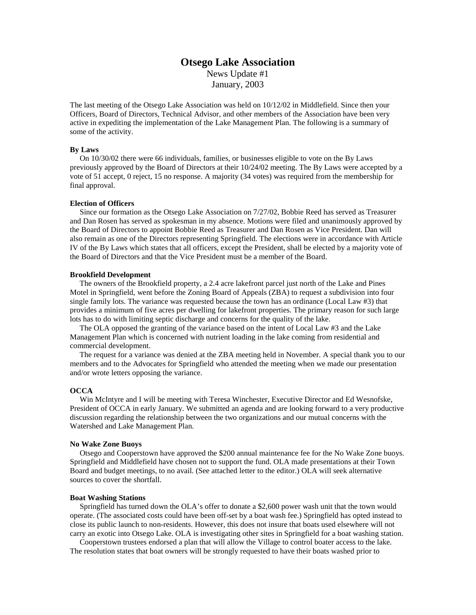# **Otsego Lake Association** News Update #1

January, 2003

The last meeting of the Otsego Lake Association was held on 10/12/02 in Middlefield. Since then your Officers, Board of Directors, Technical Advisor, and other members of the Association have been very active in expediting the implementation of the Lake Management Plan. The following is a summary of some of the activity.

## **By Laws**

 On 10/30/02 there were 66 individuals, families, or businesses eligible to vote on the By Laws previously approved by the Board of Directors at their 10/24/02 meeting. The By Laws were accepted by a vote of 51 accept, 0 reject, 15 no response. A majority (34 votes) was required from the membership for final approval.

#### **Election of Officers**

 Since our formation as the Otsego Lake Association on 7/27/02, Bobbie Reed has served as Treasurer and Dan Rosen has served as spokesman in my absence. Motions were filed and unanimously approved by the Board of Directors to appoint Bobbie Reed as Treasurer and Dan Rosen as Vice President. Dan will also remain as one of the Directors representing Springfield. The elections were in accordance with Article IV of the By Laws which states that all officers, except the President, shall be elected by a majority vote of the Board of Directors and that the Vice President must be a member of the Board.

## **Brookfield Development**

 The owners of the Brookfield property, a 2.4 acre lakefront parcel just north of the Lake and Pines Motel in Springfield, went before the Zoning Board of Appeals (ZBA) to request a subdivision into four single family lots. The variance was requested because the town has an ordinance (Local Law #3) that provides a minimum of five acres per dwelling for lakefront properties. The primary reason for such large lots has to do with limiting septic discharge and concerns for the quality of the lake.

 The OLA opposed the granting of the variance based on the intent of Local Law #3 and the Lake Management Plan which is concerned with nutrient loading in the lake coming from residential and commercial development.

 The request for a variance was denied at the ZBA meeting held in November. A special thank you to our members and to the Advocates for Springfield who attended the meeting when we made our presentation and/or wrote letters opposing the variance.

## **OCCA**

 Win McIntyre and I will be meeting with Teresa Winchester, Executive Director and Ed Wesnofske, President of OCCA in early January. We submitted an agenda and are looking forward to a very productive discussion regarding the relationship between the two organizations and our mutual concerns with the Watershed and Lake Management Plan.

## **No Wake Zone Buoys**

 Otsego and Cooperstown have approved the \$200 annual maintenance fee for the No Wake Zone buoys. Springfield and Middlefield have chosen not to support the fund. OLA made presentations at their Town Board and budget meetings, to no avail. (See attached letter to the editor.) OLA will seek alternative sources to cover the shortfall.

#### **Boat Washing Stations**

 Springfield has turned down the OLA's offer to donate a \$2,600 power wash unit that the town would operate. (The associated costs could have been off-set by a boat wash fee.) Springfield has opted instead to close its public launch to non-residents. However, this does not insure that boats used elsewhere will not carry an exotic into Otsego Lake. OLA is investigating other sites in Springfield for a boat washing station.

 Cooperstown trustees endorsed a plan that will allow the Village to control boater access to the lake. The resolution states that boat owners will be strongly requested to have their boats washed prior to